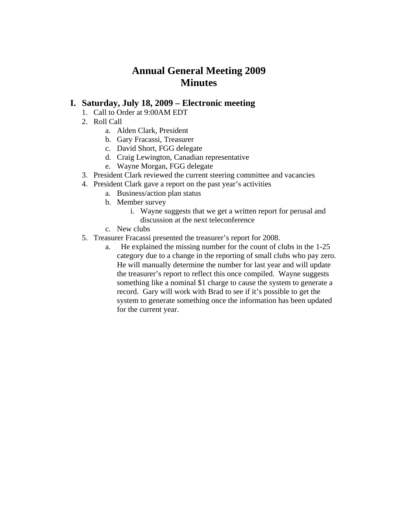# **Annual General Meeting 2009 Minutes**

## **I. Saturday, July 18, 2009 – Electronic meeting**

- 1. Call to Order at 9:00AM EDT
- 2. Roll Call
	- a. Alden Clark, President
	- b. Gary Fracassi, Treasurer
	- c. David Short, FGG delegate
	- d. Craig Lewington, Canadian representative
	- e. Wayne Morgan, FGG delegate
- 3. President Clark reviewed the current steering committee and vacancies
- 4. President Clark gave a report on the past year's activities
	- a. Business/action plan status
	- b. Member survey
		- i. Wayne suggests that we get a written report for perusal and discussion at the next teleconference
	- c. New clubs
- 5. Treasurer Fracassi presented the treasurer's report for 2008.
	- a. He explained the missing number for the count of clubs in the 1-25 category due to a change in the reporting of small clubs who pay zero. He will manually determine the number for last year and will update the treasurer's report to reflect this once compiled. Wayne suggests something like a nominal \$1 charge to cause the system to generate a record. Gary will work with Brad to see if it's possible to get the system to generate something once the information has been updated for the current year.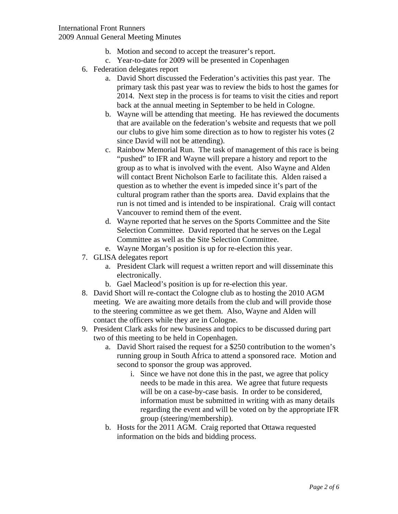#### International Front Runners 2009 Annual General Meeting Minutes

- b. Motion and second to accept the treasurer's report.
- c. Year-to-date for 2009 will be presented in Copenhagen
- 6. Federation delegates report
	- a. David Short discussed the Federation's activities this past year. The primary task this past year was to review the bids to host the games for 2014. Next step in the process is for teams to visit the cities and report back at the annual meeting in September to be held in Cologne.
	- b. Wayne will be attending that meeting. He has reviewed the documents that are available on the federation's website and requests that we poll our clubs to give him some direction as to how to register his votes (2 since David will not be attending).
	- c. Rainbow Memorial Run. The task of management of this race is being "pushed" to IFR and Wayne will prepare a history and report to the group as to what is involved with the event. Also Wayne and Alden will contact Brent Nicholson Earle to facilitate this. Alden raised a question as to whether the event is impeded since it's part of the cultural program rather than the sports area. David explains that the run is not timed and is intended to be inspirational. Craig will contact Vancouver to remind them of the event.
	- d. Wayne reported that he serves on the Sports Committee and the Site Selection Committee. David reported that he serves on the Legal Committee as well as the Site Selection Committee.
	- e. Wayne Morgan's position is up for re-election this year.
- 7. GLISA delegates report
	- a. President Clark will request a written report and will disseminate this electronically.
	- b. Gael Macleod's position is up for re-election this year.
- 8. David Short will re-contact the Cologne club as to hosting the 2010 AGM meeting. We are awaiting more details from the club and will provide those to the steering committee as we get them. Also, Wayne and Alden will contact the officers while they are in Cologne.
- 9. President Clark asks for new business and topics to be discussed during part two of this meeting to be held in Copenhagen.
	- a. David Short raised the request for a \$250 contribution to the women's running group in South Africa to attend a sponsored race. Motion and second to sponsor the group was approved.
		- i. Since we have not done this in the past, we agree that policy needs to be made in this area. We agree that future requests will be on a case-by-case basis. In order to be considered, information must be submitted in writing with as many details regarding the event and will be voted on by the appropriate IFR group (steering/membership).
	- b. Hosts for the 2011 AGM. Craig reported that Ottawa requested information on the bids and bidding process.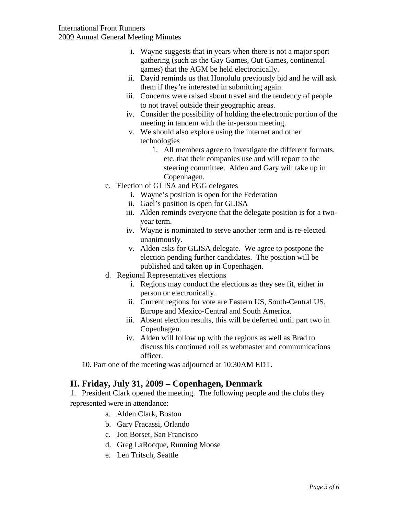- i. Wayne suggests that in years when there is not a major sport gathering (such as the Gay Games, Out Games, continental games) that the AGM be held electronically.
- ii. David reminds us that Honolulu previously bid and he will ask them if they're interested in submitting again.
- iii. Concerns were raised about travel and the tendency of people to not travel outside their geographic areas.
- iv. Consider the possibility of holding the electronic portion of the meeting in tandem with the in-person meeting.
- v. We should also explore using the internet and other technologies
	- 1. All members agree to investigate the different formats, etc. that their companies use and will report to the steering committee. Alden and Gary will take up in Copenhagen.
- c. Election of GLISA and FGG delegates
	- i. Wayne's position is open for the Federation
	- ii. Gael's position is open for GLISA
	- iii. Alden reminds everyone that the delegate position is for a twoyear term.
	- iv. Wayne is nominated to serve another term and is re-elected unanimously.
	- v. Alden asks for GLISA delegate. We agree to postpone the election pending further candidates. The position will be published and taken up in Copenhagen.
- d. Regional Representatives elections
	- i. Regions may conduct the elections as they see fit, either in person or electronically.
	- ii. Current regions for vote are Eastern US, South-Central US, Europe and Mexico-Central and South America.
	- iii. Absent election results, this will be deferred until part two in Copenhagen.
	- iv. Alden will follow up with the regions as well as Brad to discuss his continued roll as webmaster and communications officer.
- 10. Part one of the meeting was adjourned at 10:30AM EDT.

### **II. Friday, July 31, 2009 – Copenhagen, Denmark**

1. President Clark opened the meeting. The following people and the clubs they represented were in attendance:

- a. Alden Clark, Boston
- b. Gary Fracassi, Orlando
- c. Jon Borset, San Francisco
- d. Greg LaRocque, Running Moose
- e. Len Tritsch, Seattle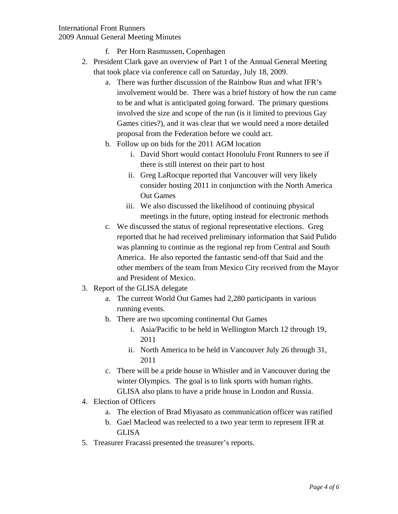### International Front Runners 2009 Annual General Meeting Minutes

- f. Per Horn Rasmussen, Copenhagen
- 2. President Clark gave an overview of Part 1 of the Annual General Meeting that took place via conference call on Saturday, July 18, 2009.
	- a. There was further discussion of the Rainbow Run and what IFR's involvement would be. There was a brief history of how the run came to be and what is anticipated going forward. The primary questions involved the size and scope of the run (is it limited to previous Gay Games cities?), and it was clear that we would need a more detailed proposal from the Federation before we could act.
	- b. Follow up on bids for the 2011 AGM location
		- i. David Short would contact Honolulu Front Runners to see if there is still interest on their part to host
		- ii. Greg LaRocque reported that Vancouver will very likely consider hosting 2011 in conjunction with the North America Out Games
		- iii. We also discussed the likelihood of continuing physical meetings in the future, opting instead for electronic methods
	- c. We discussed the status of regional representative elections. Greg reported that he had received preliminary information that Said Pulido was planning to continue as the regional rep from Central and South America. He also reported the fantastic send-off that Said and the other members of the team from Mexico City received from the Mayor and President of Mexico.
- 3. Report of the GLISA delegate
	- a. The current World Out Games had 2,280 participants in various running events.
	- b. There are two upcoming continental Out Games
		- i. Asia/Pacific to be held in Wellington March 12 through 19, 2011
		- ii. North America to be held in Vancouver July 26 through 31, 2011
	- c. There will be a pride house in Whistler and in Vancouver during the winter Olympics. The goal is to link sports with human rights. GLISA also plans to have a pride house in London and Russia.
- 4. Election of Officers
	- a. The election of Brad Miyasato as communication officer was ratified
	- b. Gael Macleod was reelected to a two year term to represent IFR at GLISA
- 5. Treasurer Fracassi presented the treasurer's reports.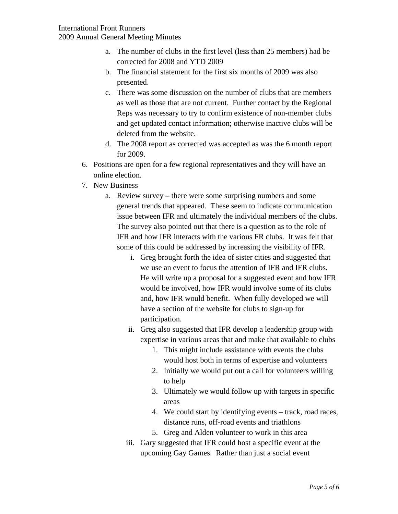- a. The number of clubs in the first level (less than 25 members) had be corrected for 2008 and YTD 2009
- b. The financial statement for the first six months of 2009 was also presented.
- c. There was some discussion on the number of clubs that are members as well as those that are not current. Further contact by the Regional Reps was necessary to try to confirm existence of non-member clubs and get updated contact information; otherwise inactive clubs will be deleted from the website.
- d. The 2008 report as corrected was accepted as was the 6 month report for 2009.
- 6. Positions are open for a few regional representatives and they will have an online election.
- 7. New Business
	- a. Review survey there were some surprising numbers and some general trends that appeared. These seem to indicate communication issue between IFR and ultimately the individual members of the clubs. The survey also pointed out that there is a question as to the role of IFR and how IFR interacts with the various FR clubs. It was felt that some of this could be addressed by increasing the visibility of IFR.
		- i. Greg brought forth the idea of sister cities and suggested that we use an event to focus the attention of IFR and IFR clubs. He will write up a proposal for a suggested event and how IFR would be involved, how IFR would involve some of its clubs and, how IFR would benefit. When fully developed we will have a section of the website for clubs to sign-up for participation.
		- ii. Greg also suggested that IFR develop a leadership group with expertise in various areas that and make that available to clubs
			- 1. This might include assistance with events the clubs would host both in terms of expertise and volunteers
			- 2. Initially we would put out a call for volunteers willing to help
			- 3. Ultimately we would follow up with targets in specific areas
			- 4. We could start by identifying events track, road races, distance runs, off-road events and triathlons
			- 5. Greg and Alden volunteer to work in this area
		- iii. Gary suggested that IFR could host a specific event at the upcoming Gay Games. Rather than just a social event